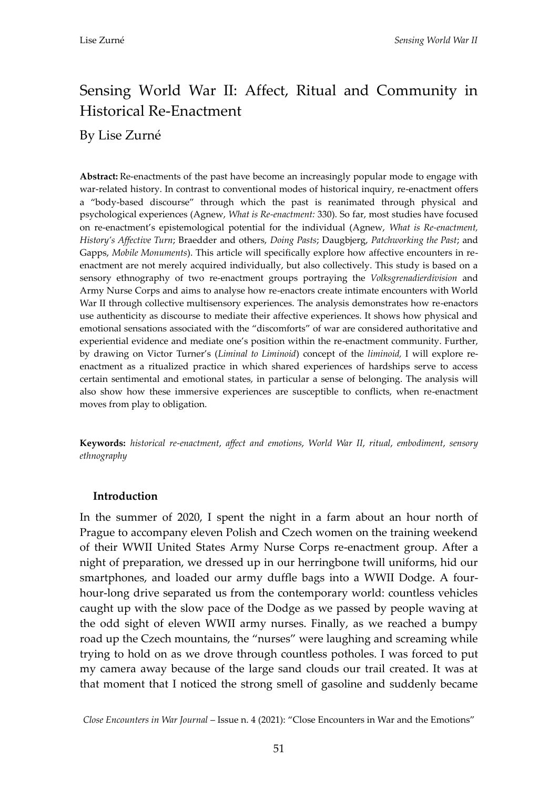# Sensing World War II: Affect, Ritual and Community in Historical Re-Enactment

By Lise Zurné

**Abstract:** Re-enactments of the past have become an increasingly popular mode to engage with war-related history. In contrast to conventional modes of historical inquiry, re-enactment offers a "body-based discourse" through which the past is reanimated through physical and psychological experiences (Agnew, *What is Re-enactment:* 330). So far, most studies have focused on re-enactment's epistemological potential for the individual (Agnew, *What is Re-enactment, History's Affective Turn*; Braedder and others, *Doing Pasts*; Daugbjerg, *Patchworking the Past*; and Gapps, *Mobile Monuments*). This article will specifically explore how affective encounters in reenactment are not merely acquired individually, but also collectively. This study is based on a sensory ethnography of two re-enactment groups portraying the *Volksgrenadierdivision* and Army Nurse Corps and aims to analyse how re-enactors create intimate encounters with World War II through collective multisensory experiences. The analysis demonstrates how re-enactors use authenticity as discourse to mediate their affective experiences. It shows how physical and emotional sensations associated with the "discomforts" of war are considered authoritative and experiential evidence and mediate one's position within the re-enactment community. Further, by drawing on Victor Turner's (*Liminal to Liminoid*) concept of the *liminoid,* I will explore reenactment as a ritualized practice in which shared experiences of hardships serve to access certain sentimental and emotional states, in particular a sense of belonging. The analysis will also show how these immersive experiences are susceptible to conflicts, when re-enactment moves from play to obligation.

**Keywords:** *historical re-enactment*, *affect and emotions*, *World War II*, *ritual*, *embodiment*, *sensory ethnography*

#### **Introduction**

In the summer of 2020, I spent the night in a farm about an hour north of Prague to accompany eleven Polish and Czech women on the training weekend of their WWII United States Army Nurse Corps re-enactment group. After a night of preparation, we dressed up in our herringbone twill uniforms, hid our smartphones, and loaded our army duffle bags into a WWII Dodge. A fourhour-long drive separated us from the contemporary world: countless vehicles caught up with the slow pace of the Dodge as we passed by people waving at the odd sight of eleven WWII army nurses. Finally, as we reached a bumpy road up the Czech mountains, the "nurses" were laughing and screaming while trying to hold on as we drove through countless potholes. I was forced to put my camera away because of the large sand clouds our trail created. It was at that moment that I noticed the strong smell of gasoline and suddenly became

*Close Encounters in War Journal* – Issue n. 4 (2021): "Close Encounters in War and the Emotions"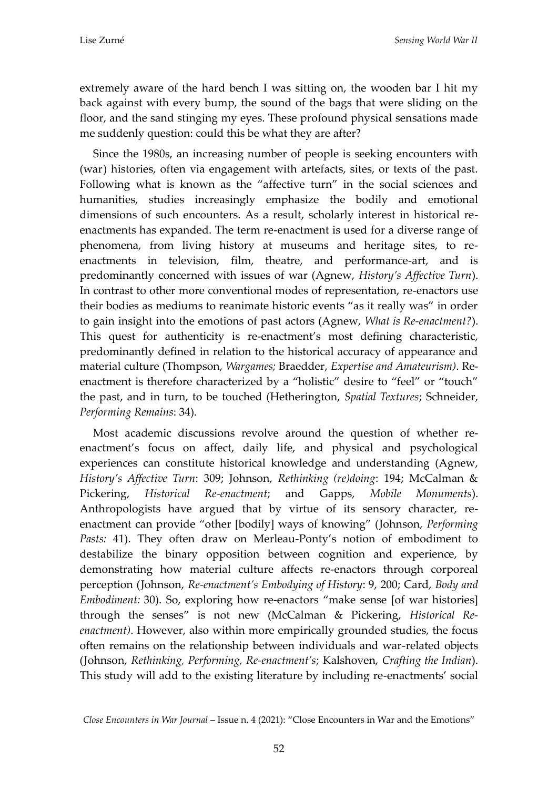extremely aware of the hard bench I was sitting on, the wooden bar I hit my back against with every bump, the sound of the bags that were sliding on the floor, and the sand stinging my eyes. These profound physical sensations made me suddenly question: could this be what they are after?

Since the 1980s, an increasing number of people is seeking encounters with (war) histories, often via engagement with artefacts, sites, or texts of the past. Following what is known as the "affective turn" in the social sciences and humanities, studies increasingly emphasize the bodily and emotional dimensions of such encounters. As a result, scholarly interest in historical reenactments has expanded. The term re-enactment is used for a diverse range of phenomena, from living history at museums and heritage sites, to reenactments in television, film, theatre, and performance-art, and is predominantly concerned with issues of war (Agnew, *History's Affective Turn*). In contrast to other more conventional modes of representation, re-enactors use their bodies as mediums to reanimate historic events "as it really was" in order to gain insight into the emotions of past actors (Agnew, *What is Re-enactment?*). This quest for authenticity is re-enactment's most defining characteristic, predominantly defined in relation to the historical accuracy of appearance and material culture (Thompson, *Wargames;* Braedder, *Expertise and Amateurism)*. Reenactment is therefore characterized by a "holistic" desire to "feel" or "touch" the past, and in turn, to be touched (Hetherington, *Spatial Textures*; Schneider, *Performing Remains*: 34).

Most academic discussions revolve around the question of whether reenactment's focus on affect, daily life, and physical and psychological experiences can constitute historical knowledge and understanding (Agnew, *History's Affective Turn*: 309; Johnson, *Rethinking (re)doing*: 194; McCalman & Pickering, *Historical Re-enactment*; and Gapps, *Mobile Monuments*). Anthropologists have argued that by virtue of its sensory character, reenactment can provide "other [bodily] ways of knowing" (Johnson, *Performing Pasts:* 41). They often draw on Merleau-Ponty's notion of embodiment to destabilize the binary opposition between cognition and experience, by demonstrating how material culture affects re-enactors through corporeal perception (Johnson, *Re-enactment's Embodying of History*: 9, 200; Card, *Body and Embodiment:* 30). So, exploring how re-enactors "make sense [of war histories] through the senses" is not new (McCalman & Pickering, *Historical Reenactment)*. However, also within more empirically grounded studies, the focus often remains on the relationship between individuals and war-related objects (Johnson, *Rethinking, Performing, Re-enactment's*; Kalshoven, *Crafting the Indian*). This study will add to the existing literature by including re-enactments' social

*Close Encounters in War Journal* – Issue n. 4 (2021): "Close Encounters in War and the Emotions"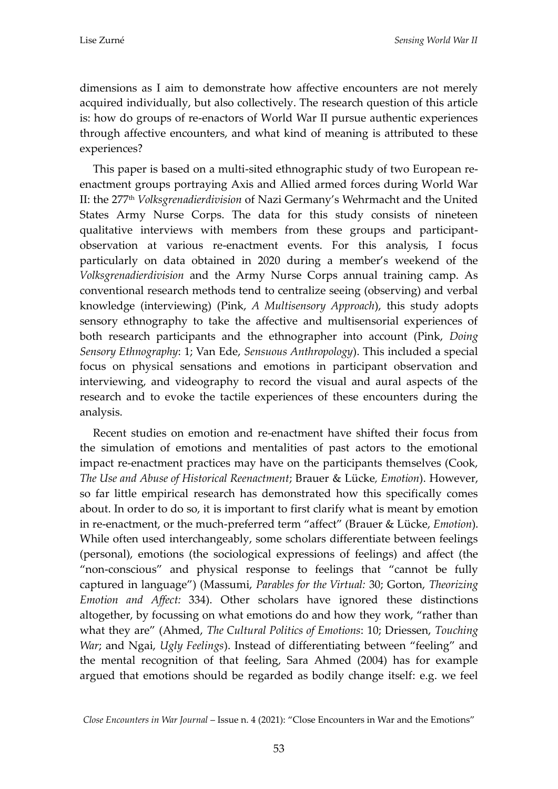dimensions as I aim to demonstrate how affective encounters are not merely acquired individually, but also collectively. The research question of this article is: how do groups of re-enactors of World War II pursue authentic experiences through affective encounters, and what kind of meaning is attributed to these experiences?

This paper is based on a multi-sited ethnographic study of two European reenactment groups portraying Axis and Allied armed forces during World War II: the 277th *Volksgrenadierdivision* of Nazi Germany's Wehrmacht and the United States Army Nurse Corps. The data for this study consists of nineteen qualitative interviews with members from these groups and participantobservation at various re-enactment events. For this analysis, I focus particularly on data obtained in 2020 during a member's weekend of the *Volksgrenadierdivision* and the Army Nurse Corps annual training camp. As conventional research methods tend to centralize seeing (observing) and verbal knowledge (interviewing) (Pink, *A Multisensory Approach*), this study adopts sensory ethnography to take the affective and multisensorial experiences of both research participants and the ethnographer into account (Pink, *Doing Sensory Ethnography*: 1; Van Ede, *Sensuous Anthropology*). This included a special focus on physical sensations and emotions in participant observation and interviewing, and videography to record the visual and aural aspects of the research and to evoke the tactile experiences of these encounters during the analysis.

Recent studies on emotion and re-enactment have shifted their focus from the simulation of emotions and mentalities of past actors to the emotional impact re-enactment practices may have on the participants themselves (Cook, *The Use and Abuse of Historical Reenactment*; Brauer & Lücke*, Emotion*). However, so far little empirical research has demonstrated how this specifically comes about. In order to do so, it is important to first clarify what is meant by emotion in re-enactment, or the much-preferred term "affect" (Brauer & Lücke, *Emotion*). While often used interchangeably, some scholars differentiate between feelings (personal), emotions (the sociological expressions of feelings) and affect (the "non-conscious" and physical response to feelings that "cannot be fully captured in language") (Massumi, *Parables for the Virtual:* 30; Gorton, *Theorizing Emotion and Affect:* 334). Other scholars have ignored these distinctions altogether, by focussing on what emotions do and how they work, "rather than what they are" (Ahmed, *The Cultural Politics of Emotions*: 10; Driessen, *Touching War*; and Ngai, *Ugly Feelings*). Instead of differentiating between "feeling" and the mental recognition of that feeling, Sara Ahmed (2004) has for example argued that emotions should be regarded as bodily change itself: e.g. we feel

*Close Encounters in War Journal* – Issue n. 4 (2021): "Close Encounters in War and the Emotions"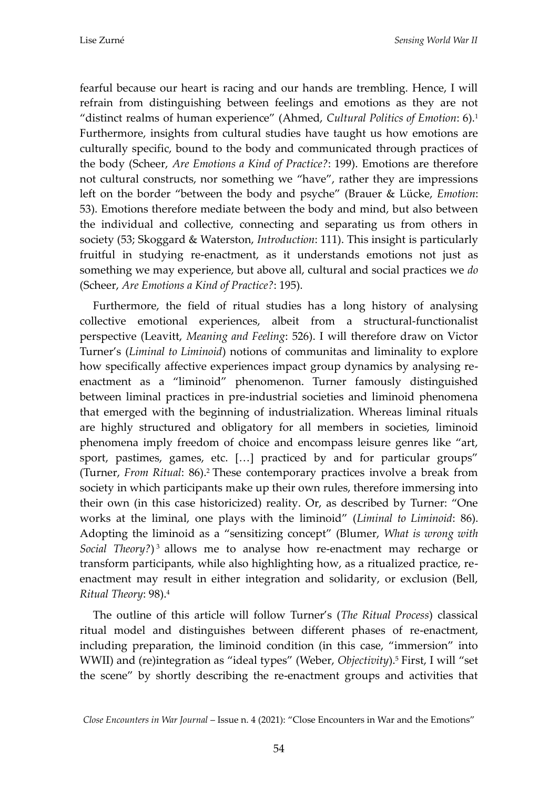fearful because our heart is racing and our hands are trembling. Hence, I will refrain from distinguishing between feelings and emotions as they are not "distinct realms of human experience" (Ahmed, *Cultural Politics of Emotion*: 6).<sup>1</sup> Furthermore, insights from cultural studies have taught us how emotions are culturally specific, bound to the body and communicated through practices of the body (Scheer, *Are Emotions a Kind of Practice?*: 199). Emotions are therefore not cultural constructs, nor something we "have", rather they are impressions left on the border "between the body and psyche" (Brauer & Lücke, *Emotion*: 53). Emotions therefore mediate between the body and mind, but also between the individual and collective, connecting and separating us from others in society (53; Skoggard & Waterston, *Introduction*: 111). This insight is particularly fruitful in studying re-enactment, as it understands emotions not just as something we may experience, but above all, cultural and social practices we *do*  (Scheer, *Are Emotions a Kind of Practice?*: 195).

Furthermore, the field of ritual studies has a long history of analysing collective emotional experiences, albeit from a structural-functionalist perspective (Leavitt, *Meaning and Feeling*: 526). I will therefore draw on Victor Turner's (*Liminal to Liminoid*) notions of communitas and liminality to explore how specifically affective experiences impact group dynamics by analysing reenactment as a "liminoid" phenomenon. Turner famously distinguished between liminal practices in pre-industrial societies and liminoid phenomena that emerged with the beginning of industrialization. Whereas liminal rituals are highly structured and obligatory for all members in societies, liminoid phenomena imply freedom of choice and encompass leisure genres like "art, sport, pastimes, games, etc.  $[...]$  practiced by and for particular groups" (Turner, *From Ritual*: 86).<sup>2</sup> These contemporary practices involve a break from society in which participants make up their own rules, therefore immersing into their own (in this case historicized) reality. Or, as described by Turner: "One works at the liminal, one plays with the liminoid" (*Liminal to Liminoid*: 86). Adopting the liminoid as a "sensitizing concept" (Blumer, *What is wrong with Social Theory?*) <sup>3</sup> allows me to analyse how re-enactment may recharge or transform participants, while also highlighting how, as a ritualized practice, reenactment may result in either integration and solidarity, or exclusion (Bell, *Ritual Theory*: 98).<sup>4</sup>

The outline of this article will follow Turner's (*The Ritual Process*) classical ritual model and distinguishes between different phases of re-enactment, including preparation, the liminoid condition (in this case, "immersion" into WWII) and (re)integration as "ideal types" (Weber, *Objectivity*).<sup>5</sup> First, I will "set the scene" by shortly describing the re-enactment groups and activities that

*Close Encounters in War Journal* – Issue n. 4 (2021): "Close Encounters in War and the Emotions"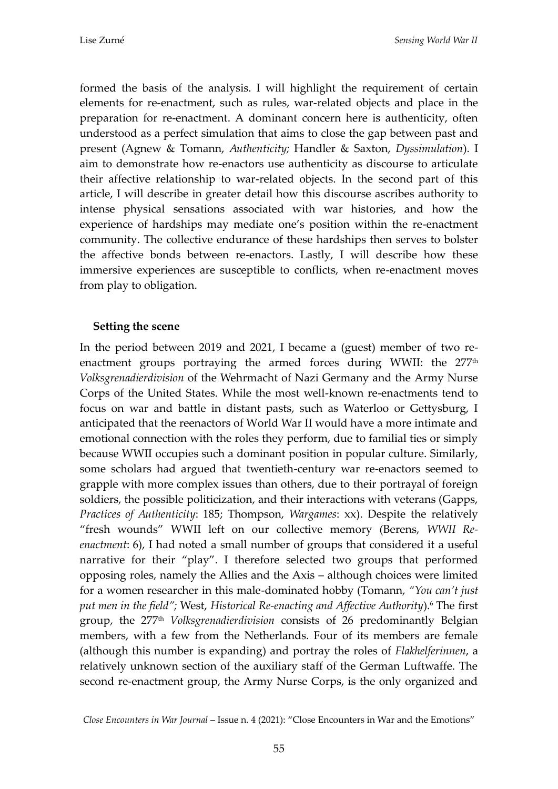formed the basis of the analysis. I will highlight the requirement of certain elements for re-enactment, such as rules, war-related objects and place in the preparation for re-enactment. A dominant concern here is authenticity, often understood as a perfect simulation that aims to close the gap between past and present (Agnew & Tomann, *Authenticity;* Handler & Saxton, *Dyssimulation*). I aim to demonstrate how re-enactors use authenticity as discourse to articulate their affective relationship to war-related objects. In the second part of this article, I will describe in greater detail how this discourse ascribes authority to intense physical sensations associated with war histories, and how the experience of hardships may mediate one's position within the re-enactment community. The collective endurance of these hardships then serves to bolster the affective bonds between re-enactors. Lastly, I will describe how these immersive experiences are susceptible to conflicts, when re-enactment moves from play to obligation.

### **Setting the scene**

In the period between 2019 and 2021, I became a (guest) member of two reenactment groups portraying the armed forces during WWII: the  $277<sup>th</sup>$ *Volksgrenadierdivision* of the Wehrmacht of Nazi Germany and the Army Nurse Corps of the United States. While the most well-known re-enactments tend to focus on war and battle in distant pasts, such as Waterloo or Gettysburg, I anticipated that the reenactors of World War II would have a more intimate and emotional connection with the roles they perform, due to familial ties or simply because WWII occupies such a dominant position in popular culture. Similarly, some scholars had argued that twentieth-century war re-enactors seemed to grapple with more complex issues than others, due to their portrayal of foreign soldiers, the possible politicization, and their interactions with veterans (Gapps, *Practices of Authenticity*: 185; Thompson, *Wargames*: xx). Despite the relatively "fresh wounds" WWII left on our collective memory (Berens, *WWII Reenactment*: 6), I had noted a small number of groups that considered it a useful narrative for their "play". I therefore selected two groups that performed opposing roles, namely the Allies and the Axis – although choices were limited for a women researcher in this male-dominated hobby (Tomann, *"You can't just put men in the field";* West, *Historical Re-enacting and Affective Authority*).<sup>6</sup> The first group, the 277th *Volksgrenadierdivision* consists of 26 predominantly Belgian members, with a few from the Netherlands. Four of its members are female (although this number is expanding) and portray the roles of *Flakhelferinnen*, a relatively unknown section of the auxiliary staff of the German Luftwaffe. The second re-enactment group, the Army Nurse Corps, is the only organized and

*Close Encounters in War Journal* – Issue n. 4 (2021): "Close Encounters in War and the Emotions"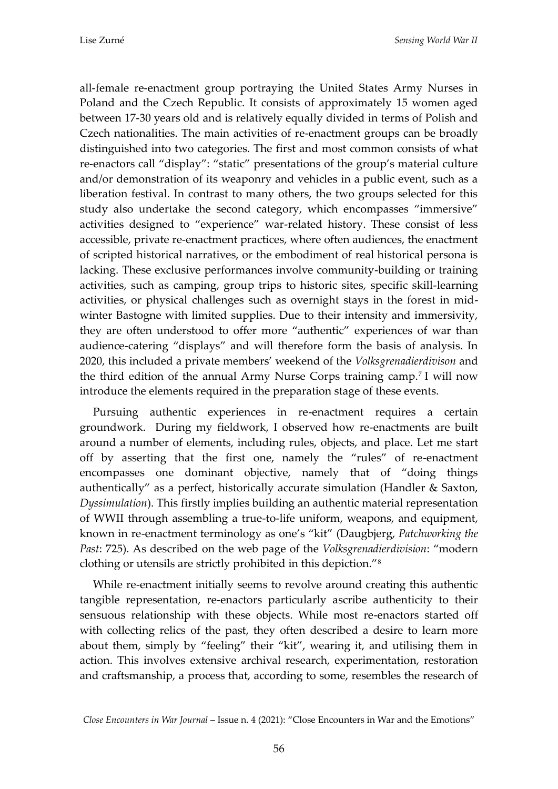all-female re-enactment group portraying the United States Army Nurses in Poland and the Czech Republic. It consists of approximately 15 women aged between 17-30 years old and is relatively equally divided in terms of Polish and Czech nationalities. The main activities of re-enactment groups can be broadly distinguished into two categories. The first and most common consists of what re-enactors call "display": "static" presentations of the group's material culture and/or demonstration of its weaponry and vehicles in a public event, such as a liberation festival. In contrast to many others, the two groups selected for this study also undertake the second category, which encompasses "immersive" activities designed to "experience" war-related history. These consist of less accessible, private re-enactment practices, where often audiences, the enactment of scripted historical narratives, or the embodiment of real historical persona is lacking. These exclusive performances involve community-building or training activities, such as camping, group trips to historic sites, specific skill-learning activities, or physical challenges such as overnight stays in the forest in midwinter Bastogne with limited supplies. Due to their intensity and immersivity, they are often understood to offer more "authentic" experiences of war than audience-catering "displays" and will therefore form the basis of analysis. In 2020, this included a private members' weekend of the *Volksgrenadierdivison* and the third edition of the annual Army Nurse Corps training camp.<sup>7</sup> I will now introduce the elements required in the preparation stage of these events.

Pursuing authentic experiences in re-enactment requires a certain groundwork. During my fieldwork, I observed how re-enactments are built around a number of elements, including rules, objects, and place. Let me start off by asserting that the first one, namely the "rules" of re-enactment encompasses one dominant objective, namely that of "doing things authentically" as a perfect, historically accurate simulation (Handler & Saxton, *Dyssimulation*). This firstly implies building an authentic material representation of WWII through assembling a true-to-life uniform, weapons, and equipment, known in re-enactment terminology as one's "kit" (Daugbjerg, *Patchworking the Past*: 725). As described on the web page of the *Volksgrenadierdivision*: "modern clothing or utensils are strictly prohibited in this depiction."<sup>8</sup>

While re-enactment initially seems to revolve around creating this authentic tangible representation, re-enactors particularly ascribe authenticity to their sensuous relationship with these objects. While most re-enactors started off with collecting relics of the past, they often described a desire to learn more about them, simply by "feeling" their "kit", wearing it, and utilising them in action. This involves extensive archival research, experimentation, restoration and craftsmanship, a process that, according to some, resembles the research of

*Close Encounters in War Journal* – Issue n. 4 (2021): "Close Encounters in War and the Emotions"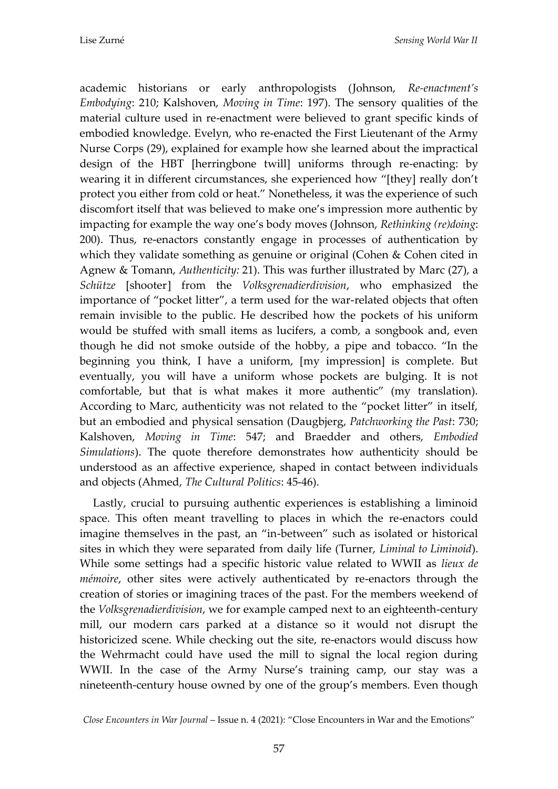academic historians or early anthropologists (Johnson, *Re-enactment's Embodying*: 210; Kalshoven, *Moving in Time*: 197). The sensory qualities of the material culture used in re-enactment were believed to grant specific kinds of embodied knowledge. Evelyn, who re-enacted the First Lieutenant of the Army Nurse Corps (29), explained for example how she learned about the impractical design of the HBT [herringbone twill] uniforms through re-enacting: by wearing it in different circumstances, she experienced how "[they] really don't protect you either from cold or heat." Nonetheless, it was the experience of such discomfort itself that was believed to make one's impression more authentic by impacting for example the way one's body moves (Johnson, *Rethinking (re)doing*: 200). Thus, re-enactors constantly engage in processes of authentication by which they validate something as genuine or original (Cohen & Cohen cited in Agnew & Tomann, *Authenticity:* 21). This was further illustrated by Marc (27), a *Schütze* [shooter] from the *Volksgrenadierdivision*, who emphasized the importance of "pocket litter", a term used for the war-related objects that often remain invisible to the public. He described how the pockets of his uniform would be stuffed with small items as lucifers, a comb, a songbook and, even though he did not smoke outside of the hobby, a pipe and tobacco. "In the beginning you think, I have a uniform, [my impression] is complete. But eventually, you will have a uniform whose pockets are bulging. It is not comfortable, but that is what makes it more authentic" (my translation). According to Marc, authenticity was not related to the "pocket litter" in itself, but an embodied and physical sensation (Daugbjerg, *Patchworking the Past*: 730; Kalshoven, *Moving in Time*: 547; and Braedder and others, *Embodied Simulations*). The quote therefore demonstrates how authenticity should be understood as an affective experience, shaped in contact between individuals and objects (Ahmed, *The Cultural Politics*: 45-46).

Lastly, crucial to pursuing authentic experiences is establishing a liminoid space. This often meant travelling to places in which the re-enactors could imagine themselves in the past, an "in-between" such as isolated or historical sites in which they were separated from daily life (Turner, *Liminal to Liminoid*). While some settings had a specific historic value related to WWII as *lieux de mémoire*, other sites were actively authenticated by re-enactors through the creation of stories or imagining traces of the past. For the members weekend of the *Volksgrenadierdivision*, we for example camped next to an eighteenth-century mill, our modern cars parked at a distance so it would not disrupt the historicized scene. While checking out the site, re-enactors would discuss how the Wehrmacht could have used the mill to signal the local region during WWII. In the case of the Army Nurse's training camp, our stay was a nineteenth-century house owned by one of the group's members. Even though

*Close Encounters in War Journal* – Issue n. 4 (2021): "Close Encounters in War and the Emotions"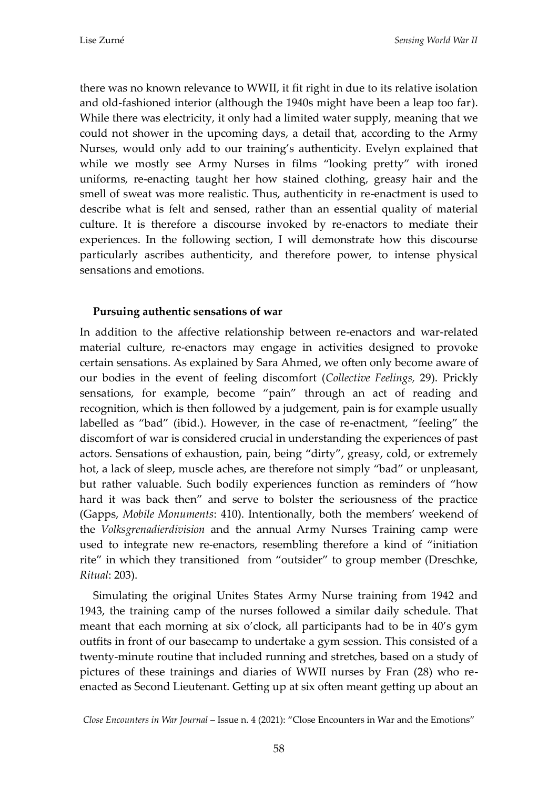there was no known relevance to WWII, it fit right in due to its relative isolation and old-fashioned interior (although the 1940s might have been a leap too far). While there was electricity, it only had a limited water supply, meaning that we could not shower in the upcoming days, a detail that, according to the Army Nurses, would only add to our training's authenticity. Evelyn explained that while we mostly see Army Nurses in films "looking pretty" with ironed uniforms, re-enacting taught her how stained clothing, greasy hair and the smell of sweat was more realistic. Thus, authenticity in re-enactment is used to describe what is felt and sensed, rather than an essential quality of material culture. It is therefore a discourse invoked by re-enactors to mediate their experiences. In the following section, I will demonstrate how this discourse particularly ascribes authenticity, and therefore power, to intense physical sensations and emotions.

### **Pursuing authentic sensations of war**

In addition to the affective relationship between re-enactors and war-related material culture, re-enactors may engage in activities designed to provoke certain sensations. As explained by Sara Ahmed, we often only become aware of our bodies in the event of feeling discomfort (*Collective Feelings,* 29). Prickly sensations, for example, become "pain" through an act of reading and recognition, which is then followed by a judgement, pain is for example usually labelled as "bad" (ibid.). However, in the case of re-enactment, "feeling" the discomfort of war is considered crucial in understanding the experiences of past actors. Sensations of exhaustion, pain, being "dirty", greasy, cold, or extremely hot, a lack of sleep, muscle aches, are therefore not simply "bad" or unpleasant, but rather valuable. Such bodily experiences function as reminders of "how hard it was back then" and serve to bolster the seriousness of the practice (Gapps, *Mobile Monuments*: 410). Intentionally, both the members' weekend of the *Volksgrenadierdivision* and the annual Army Nurses Training camp were used to integrate new re-enactors, resembling therefore a kind of "initiation rite" in which they transitioned from "outsider" to group member (Dreschke, *Ritual*: 203).

Simulating the original Unites States Army Nurse training from 1942 and 1943, the training camp of the nurses followed a similar daily schedule. That meant that each morning at six o'clock, all participants had to be in 40's gym outfits in front of our basecamp to undertake a gym session. This consisted of a twenty-minute routine that included running and stretches, based on a study of pictures of these trainings and diaries of WWII nurses by Fran (28) who reenacted as Second Lieutenant. Getting up at six often meant getting up about an

*Close Encounters in War Journal* – Issue n. 4 (2021): "Close Encounters in War and the Emotions"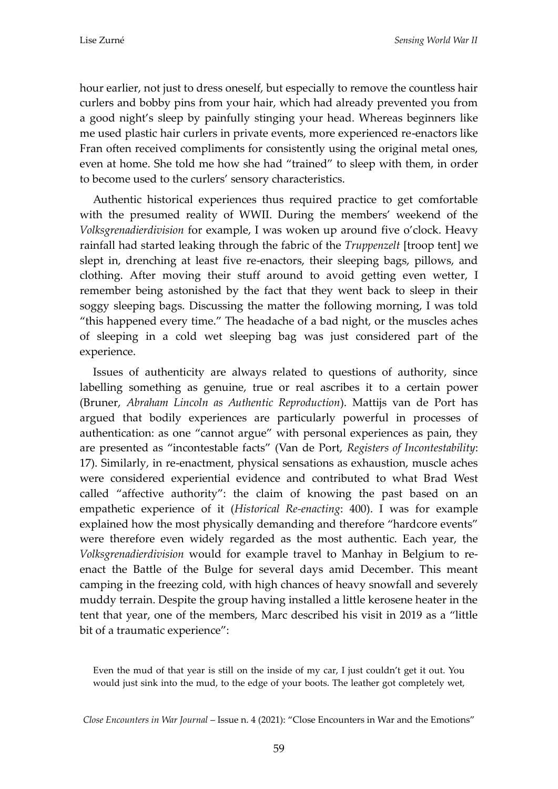hour earlier, not just to dress oneself, but especially to remove the countless hair curlers and bobby pins from your hair, which had already prevented you from a good night's sleep by painfully stinging your head. Whereas beginners like me used plastic hair curlers in private events, more experienced re-enactors like Fran often received compliments for consistently using the original metal ones, even at home. She told me how she had "trained" to sleep with them, in order to become used to the curlers' sensory characteristics.

Authentic historical experiences thus required practice to get comfortable with the presumed reality of WWII. During the members' weekend of the *Volksgrenadierdivision* for example, I was woken up around five o'clock. Heavy rainfall had started leaking through the fabric of the *Truppenzelt* [troop tent] we slept in, drenching at least five re-enactors, their sleeping bags, pillows, and clothing. After moving their stuff around to avoid getting even wetter, I remember being astonished by the fact that they went back to sleep in their soggy sleeping bags. Discussing the matter the following morning, I was told "this happened every time." The headache of a bad night, or the muscles aches of sleeping in a cold wet sleeping bag was just considered part of the experience.

Issues of authenticity are always related to questions of authority, since labelling something as genuine, true or real ascribes it to a certain power (Bruner, *Abraham Lincoln as Authentic Reproduction*). Mattijs van de Port has argued that bodily experiences are particularly powerful in processes of authentication: as one "cannot argue" with personal experiences as pain, they are presented as "incontestable facts" (Van de Port, *Registers of Incontestability*: 17). Similarly, in re-enactment, physical sensations as exhaustion, muscle aches were considered experiential evidence and contributed to what Brad West called "affective authority": the claim of knowing the past based on an empathetic experience of it (*Historical Re-enacting*: 400). I was for example explained how the most physically demanding and therefore "hardcore events" were therefore even widely regarded as the most authentic. Each year, the *Volksgrenadierdivision* would for example travel to Manhay in Belgium to reenact the Battle of the Bulge for several days amid December. This meant camping in the freezing cold, with high chances of heavy snowfall and severely muddy terrain. Despite the group having installed a little kerosene heater in the tent that year, one of the members, Marc described his visit in 2019 as a "little bit of a traumatic experience":

Even the mud of that year is still on the inside of my car, I just couldn't get it out. You would just sink into the mud, to the edge of your boots. The leather got completely wet,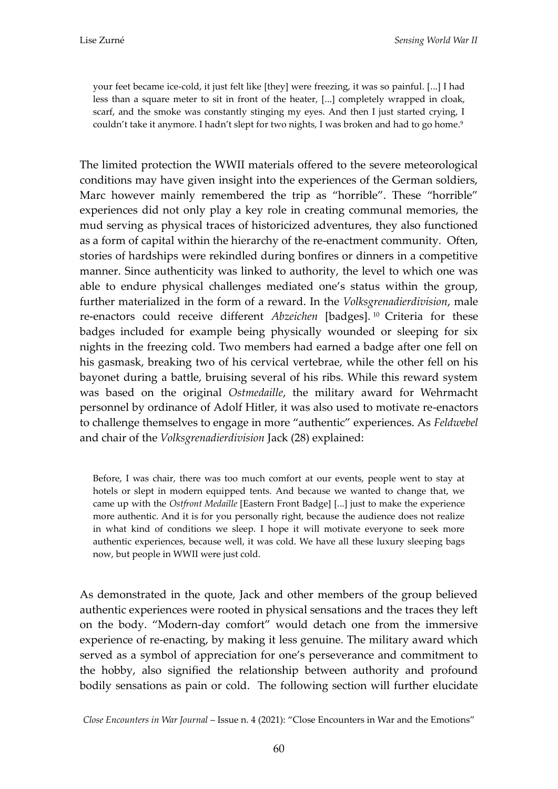your feet became ice-cold, it just felt like [they] were freezing, it was so painful. [...] I had less than a square meter to sit in front of the heater,  $[...]$  completely wrapped in cloak, scarf, and the smoke was constantly stinging my eyes. And then I just started crying, I couldn't take it anymore. I hadn't slept for two nights, I was broken and had to go home. 9

The limited protection the WWII materials offered to the severe meteorological conditions may have given insight into the experiences of the German soldiers, Marc however mainly remembered the trip as "horrible". These "horrible" experiences did not only play a key role in creating communal memories, the mud serving as physical traces of historicized adventures, they also functioned as a form of capital within the hierarchy of the re-enactment community. Often, stories of hardships were rekindled during bonfires or dinners in a competitive manner. Since authenticity was linked to authority, the level to which one was able to endure physical challenges mediated one's status within the group, further materialized in the form of a reward. In the *Volksgrenadierdivision*, male re-enactors could receive different *Abzeichen* [badges].<sup>10</sup> Criteria for these badges included for example being physically wounded or sleeping for six nights in the freezing cold. Two members had earned a badge after one fell on his gasmask, breaking two of his cervical vertebrae, while the other fell on his bayonet during a battle, bruising several of his ribs. While this reward system was based on the original *Ostmedaille*, the military award for Wehrmacht personnel by ordinance of Adolf Hitler, it was also used to motivate re-enactors to challenge themselves to engage in more "authentic" experiences. As *Feldwebel*  and chair of the *Volksgrenadierdivision* Jack (28) explained:

Before, I was chair, there was too much comfort at our events, people went to stay at hotels or slept in modern equipped tents. And because we wanted to change that, we came up with the *Ostfront Medaille* [Eastern Front Badge] [...] just to make the experience more authentic. And it is for you personally right, because the audience does not realize in what kind of conditions we sleep. I hope it will motivate everyone to seek more authentic experiences, because well, it was cold. We have all these luxury sleeping bags now, but people in WWII were just cold.

As demonstrated in the quote, Jack and other members of the group believed authentic experiences were rooted in physical sensations and the traces they left on the body. "Modern-day comfort" would detach one from the immersive experience of re-enacting, by making it less genuine. The military award which served as a symbol of appreciation for one's perseverance and commitment to the hobby, also signified the relationship between authority and profound bodily sensations as pain or cold. The following section will further elucidate

*Close Encounters in War Journal* – Issue n. 4 (2021): "Close Encounters in War and the Emotions"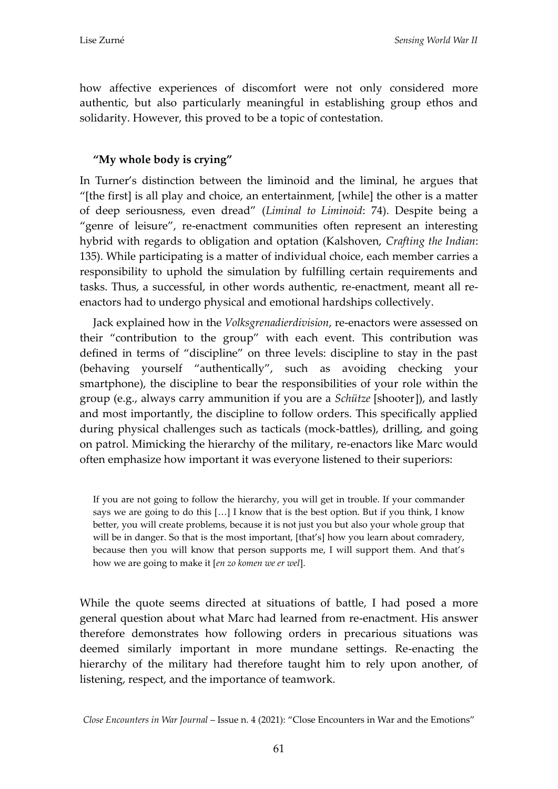how affective experiences of discomfort were not only considered more authentic, but also particularly meaningful in establishing group ethos and solidarity. However, this proved to be a topic of contestation.

## **"My whole body is crying"**

In Turner's distinction between the liminoid and the liminal, he argues that "[the first] is all play and choice, an entertainment, [while] the other is a matter of deep seriousness, even dread" (*Liminal to Liminoid*: 74). Despite being a "genre of leisure", re-enactment communities often represent an interesting hybrid with regards to obligation and optation (Kalshoven, *Crafting the Indian*: 135). While participating is a matter of individual choice, each member carries a responsibility to uphold the simulation by fulfilling certain requirements and tasks. Thus, a successful, in other words authentic, re-enactment, meant all reenactors had to undergo physical and emotional hardships collectively.

Jack explained how in the *Volksgrenadierdivision*, re-enactors were assessed on their "contribution to the group" with each event. This contribution was defined in terms of "discipline" on three levels: discipline to stay in the past (behaving yourself "authentically", such as avoiding checking your smartphone), the discipline to bear the responsibilities of your role within the group (e.g., always carry ammunition if you are a *Schütze* [shooter]), and lastly and most importantly, the discipline to follow orders. This specifically applied during physical challenges such as tacticals (mock-battles), drilling, and going on patrol. Mimicking the hierarchy of the military, re-enactors like Marc would often emphasize how important it was everyone listened to their superiors:

If you are not going to follow the hierarchy, you will get in trouble. If your commander says we are going to do this  $[...]$  I know that is the best option. But if you think, I know better, you will create problems, because it is not just you but also your whole group that will be in danger. So that is the most important, [that's] how you learn about comradery, because then you will know that person supports me, I will support them. And that's how we are going to make it [*en zo komen we er wel*].

While the quote seems directed at situations of battle, I had posed a more general question about what Marc had learned from re-enactment. His answer therefore demonstrates how following orders in precarious situations was deemed similarly important in more mundane settings. Re-enacting the hierarchy of the military had therefore taught him to rely upon another, of listening, respect, and the importance of teamwork.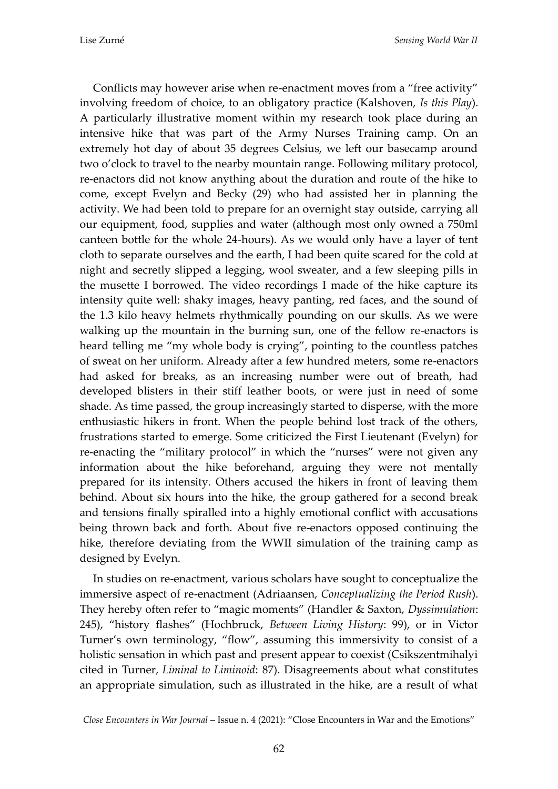Conflicts may however arise when re-enactment moves from a "free activity" involving freedom of choice, to an obligatory practice (Kalshoven, *Is this Play*). A particularly illustrative moment within my research took place during an intensive hike that was part of the Army Nurses Training camp. On an extremely hot day of about 35 degrees Celsius, we left our basecamp around two o'clock to travel to the nearby mountain range. Following military protocol, re-enactors did not know anything about the duration and route of the hike to come, except Evelyn and Becky (29) who had assisted her in planning the activity. We had been told to prepare for an overnight stay outside, carrying all our equipment, food, supplies and water (although most only owned a 750ml canteen bottle for the whole 24-hours). As we would only have a layer of tent cloth to separate ourselves and the earth, I had been quite scared for the cold at night and secretly slipped a legging, wool sweater, and a few sleeping pills in the musette I borrowed. The video recordings I made of the hike capture its intensity quite well: shaky images, heavy panting, red faces, and the sound of the 1.3 kilo heavy helmets rhythmically pounding on our skulls. As we were walking up the mountain in the burning sun, one of the fellow re-enactors is heard telling me "my whole body is crying", pointing to the countless patches of sweat on her uniform. Already after a few hundred meters, some re-enactors had asked for breaks, as an increasing number were out of breath, had developed blisters in their stiff leather boots, or were just in need of some shade. As time passed, the group increasingly started to disperse, with the more enthusiastic hikers in front. When the people behind lost track of the others, frustrations started to emerge. Some criticized the First Lieutenant (Evelyn) for re-enacting the "military protocol" in which the "nurses" were not given any information about the hike beforehand, arguing they were not mentally prepared for its intensity. Others accused the hikers in front of leaving them behind. About six hours into the hike, the group gathered for a second break and tensions finally spiralled into a highly emotional conflict with accusations being thrown back and forth. About five re-enactors opposed continuing the hike, therefore deviating from the WWII simulation of the training camp as designed by Evelyn.

In studies on re-enactment, various scholars have sought to conceptualize the immersive aspect of re-enactment (Adriaansen, *Conceptualizing the Period Rush*). They hereby often refer to "magic moments" (Handler & Saxton, *Dyssimulation*: 245), "history flashes" (Hochbruck, *Between Living History*: 99), or in Victor Turner's own terminology, "flow", assuming this immersivity to consist of a holistic sensation in which past and present appear to coexist (Csikszentmihalyi cited in Turner, *Liminal to Liminoid*: 87). Disagreements about what constitutes an appropriate simulation, such as illustrated in the hike, are a result of what

*Close Encounters in War Journal* – Issue n. 4 (2021): "Close Encounters in War and the Emotions"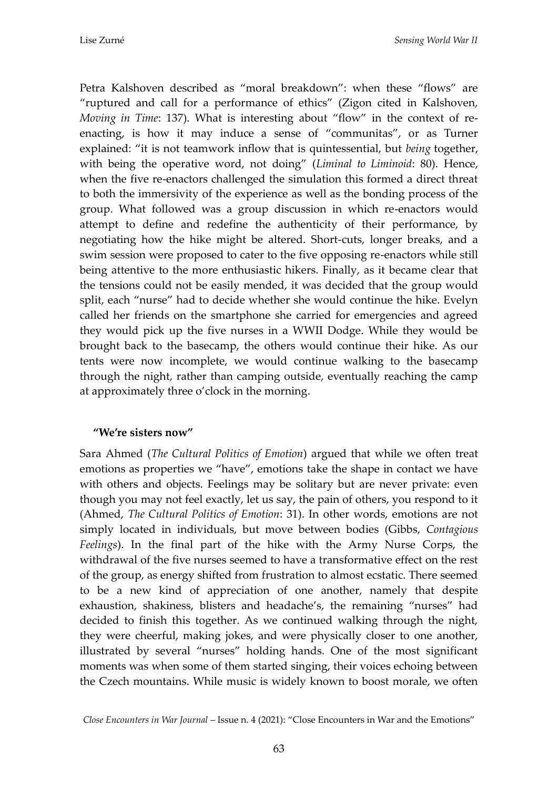Petra Kalshoven described as "moral breakdown": when these "flows" are "ruptured and call for a performance of ethics" (Zigon cited in Kalshoven, *Moving in Time*: 137). What is interesting about "flow" in the context of reenacting, is how it may induce a sense of "communitas", or as Turner explained: "it is not teamwork inflow that is quintessential, but *being* together, with being the operative word, not doing" (*Liminal to Liminoid*: 80). Hence, when the five re-enactors challenged the simulation this formed a direct threat to both the immersivity of the experience as well as the bonding process of the group. What followed was a group discussion in which re-enactors would attempt to define and redefine the authenticity of their performance, by negotiating how the hike might be altered. Short-cuts, longer breaks, and a swim session were proposed to cater to the five opposing re-enactors while still being attentive to the more enthusiastic hikers. Finally, as it became clear that the tensions could not be easily mended, it was decided that the group would split, each "nurse" had to decide whether she would continue the hike. Evelyn called her friends on the smartphone she carried for emergencies and agreed they would pick up the five nurses in a WWII Dodge. While they would be brought back to the basecamp, the others would continue their hike. As our tents were now incomplete, we would continue walking to the basecamp through the night, rather than camping outside, eventually reaching the camp at approximately three o'clock in the morning.

### **"We're sisters now"**

Sara Ahmed (*The Cultural Politics of Emotion*) argued that while we often treat emotions as properties we "have", emotions take the shape in contact we have with others and objects. Feelings may be solitary but are never private: even though you may not feel exactly, let us say, the pain of others, you respond to it (Ahmed, *The Cultural Politics of Emotion*: 31). In other words, emotions are not simply located in individuals, but move between bodies (Gibbs, *Contagious Feelings*). In the final part of the hike with the Army Nurse Corps, the withdrawal of the five nurses seemed to have a transformative effect on the rest of the group, as energy shifted from frustration to almost ecstatic. There seemed to be a new kind of appreciation of one another, namely that despite exhaustion, shakiness, blisters and headache's, the remaining "nurses" had decided to finish this together. As we continued walking through the night, they were cheerful, making jokes, and were physically closer to one another, illustrated by several "nurses" holding hands. One of the most significant moments was when some of them started singing, their voices echoing between the Czech mountains. While music is widely known to boost morale, we often

*Close Encounters in War Journal* – Issue n. 4 (2021): "Close Encounters in War and the Emotions"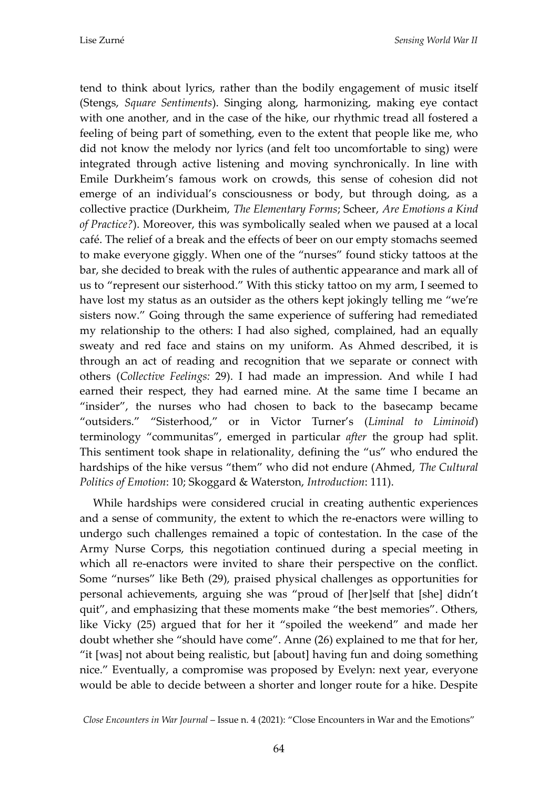tend to think about lyrics, rather than the bodily engagement of music itself (Stengs, *Square Sentiments*). Singing along, harmonizing, making eye contact with one another, and in the case of the hike, our rhythmic tread all fostered a feeling of being part of something, even to the extent that people like me, who did not know the melody nor lyrics (and felt too uncomfortable to sing) were integrated through active listening and moving synchronically. In line with Emile Durkheim's famous work on crowds, this sense of cohesion did not emerge of an individual's consciousness or body, but through doing, as a collective practice (Durkheim, *The Elementary Forms*; Scheer, *Are Emotions a Kind of Practice?*). Moreover, this was symbolically sealed when we paused at a local café. The relief of a break and the effects of beer on our empty stomachs seemed to make everyone giggly. When one of the "nurses" found sticky tattoos at the bar, she decided to break with the rules of authentic appearance and mark all of us to "represent our sisterhood." With this sticky tattoo on my arm, I seemed to have lost my status as an outsider as the others kept jokingly telling me "we're sisters now." Going through the same experience of suffering had remediated my relationship to the others: I had also sighed, complained, had an equally sweaty and red face and stains on my uniform. As Ahmed described, it is through an act of reading and recognition that we separate or connect with others (*Collective Feelings:* 29). I had made an impression. And while I had earned their respect, they had earned mine. At the same time I became an "insider", the nurses who had chosen to back to the basecamp became "outsiders." "Sisterhood," or in Victor Turner's (*Liminal to Liminoid*) terminology "communitas", emerged in particular *after* the group had split. This sentiment took shape in relationality, defining the "us" who endured the hardships of the hike versus "them" who did not endure (Ahmed, *The Cultural Politics of Emotion*: 10; Skoggard & Waterston, *Introduction*: 111).

While hardships were considered crucial in creating authentic experiences and a sense of community, the extent to which the re-enactors were willing to undergo such challenges remained a topic of contestation. In the case of the Army Nurse Corps, this negotiation continued during a special meeting in which all re-enactors were invited to share their perspective on the conflict. Some "nurses" like Beth (29), praised physical challenges as opportunities for personal achievements, arguing she was "proud of [her]self that [she] didn't quit", and emphasizing that these moments make "the best memories". Others, like Vicky (25) argued that for her it "spoiled the weekend" and made her doubt whether she "should have come". Anne (26) explained to me that for her, "it [was] not about being realistic, but [about] having fun and doing something nice." Eventually, a compromise was proposed by Evelyn: next year, everyone would be able to decide between a shorter and longer route for a hike. Despite

*Close Encounters in War Journal* – Issue n. 4 (2021): "Close Encounters in War and the Emotions"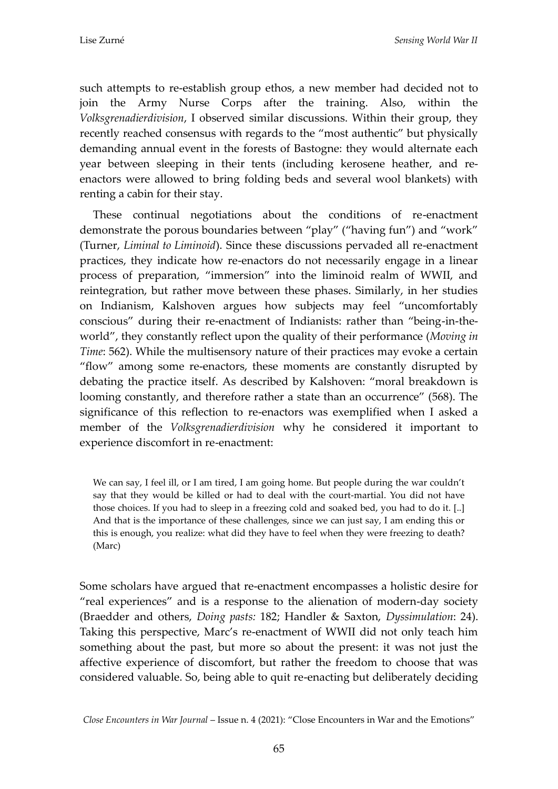such attempts to re-establish group ethos, a new member had decided not to join the Army Nurse Corps after the training. Also, within the *Volksgrenadierdivision*, I observed similar discussions. Within their group, they recently reached consensus with regards to the "most authentic" but physically demanding annual event in the forests of Bastogne: they would alternate each year between sleeping in their tents (including kerosene heather, and reenactors were allowed to bring folding beds and several wool blankets) with renting a cabin for their stay.

These continual negotiations about the conditions of re-enactment demonstrate the porous boundaries between "play" ("having fun") and "work" (Turner, *Liminal to Liminoid*). Since these discussions pervaded all re-enactment practices, they indicate how re-enactors do not necessarily engage in a linear process of preparation, "immersion" into the liminoid realm of WWII, and reintegration, but rather move between these phases. Similarly, in her studies on Indianism, Kalshoven argues how subjects may feel "uncomfortably conscious" during their re-enactment of Indianists: rather than "being-in-theworld", they constantly reflect upon the quality of their performance (*Moving in Time*: 562). While the multisensory nature of their practices may evoke a certain "flow" among some re-enactors, these moments are constantly disrupted by debating the practice itself. As described by Kalshoven: "moral breakdown is looming constantly, and therefore rather a state than an occurrence" (568). The significance of this reflection to re-enactors was exemplified when I asked a member of the *Volksgrenadierdivision* why he considered it important to experience discomfort in re-enactment:

We can say, I feel ill, or I am tired, I am going home. But people during the war couldn't say that they would be killed or had to deal with the court-martial. You did not have those choices. If you had to sleep in a freezing cold and soaked bed, you had to do it. [..] And that is the importance of these challenges, since we can just say, I am ending this or this is enough, you realize: what did they have to feel when they were freezing to death? (Marc)

Some scholars have argued that re-enactment encompasses a holistic desire for "real experiences" and is a response to the alienation of modern-day society (Braedder and others, *Doing pasts:* 182; Handler & Saxton, *Dyssimulation*: 24). Taking this perspective, Marc's re-enactment of WWII did not only teach him something about the past, but more so about the present: it was not just the affective experience of discomfort, but rather the freedom to choose that was considered valuable. So, being able to quit re-enacting but deliberately deciding

*Close Encounters in War Journal* – Issue n. 4 (2021): "Close Encounters in War and the Emotions"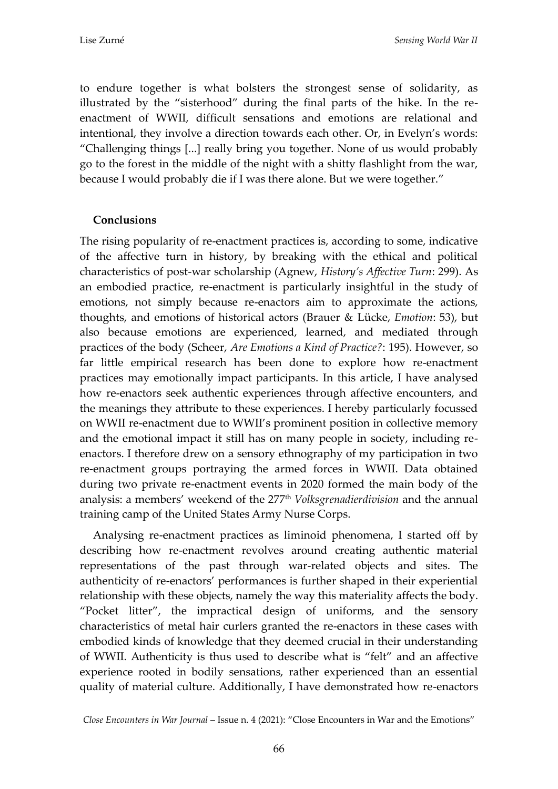to endure together is what bolsters the strongest sense of solidarity, as illustrated by the "sisterhood" during the final parts of the hike. In the reenactment of WWII, difficult sensations and emotions are relational and intentional, they involve a direction towards each other. Or, in Evelyn's words: "Challenging things [...] really bring you together. None of us would probably go to the forest in the middle of the night with a shitty flashlight from the war, because I would probably die if I was there alone. But we were together."

### **Conclusions**

The rising popularity of re-enactment practices is, according to some, indicative of the affective turn in history, by breaking with the ethical and political characteristics of post-war scholarship (Agnew, *History's Affective Turn*: 299). As an embodied practice, re-enactment is particularly insightful in the study of emotions, not simply because re-enactors aim to approximate the actions, thoughts, and emotions of historical actors (Brauer & Lücke, *Emotion*: 53), but also because emotions are experienced, learned, and mediated through practices of the body (Scheer, *Are Emotions a Kind of Practice?*: 195). However, so far little empirical research has been done to explore how re-enactment practices may emotionally impact participants. In this article, I have analysed how re-enactors seek authentic experiences through affective encounters, and the meanings they attribute to these experiences. I hereby particularly focussed on WWII re-enactment due to WWII's prominent position in collective memory and the emotional impact it still has on many people in society, including reenactors. I therefore drew on a sensory ethnography of my participation in two re-enactment groups portraying the armed forces in WWII. Data obtained during two private re-enactment events in 2020 formed the main body of the analysis: a members' weekend of the 277th *Volksgrenadierdivision* and the annual training camp of the United States Army Nurse Corps.

Analysing re-enactment practices as liminoid phenomena, I started off by describing how re-enactment revolves around creating authentic material representations of the past through war-related objects and sites. The authenticity of re-enactors' performances is further shaped in their experiential relationship with these objects, namely the way this materiality affects the body. "Pocket litter", the impractical design of uniforms, and the sensory characteristics of metal hair curlers granted the re-enactors in these cases with embodied kinds of knowledge that they deemed crucial in their understanding of WWII. Authenticity is thus used to describe what is "felt" and an affective experience rooted in bodily sensations, rather experienced than an essential quality of material culture. Additionally, I have demonstrated how re-enactors

*Close Encounters in War Journal* – Issue n. 4 (2021): "Close Encounters in War and the Emotions"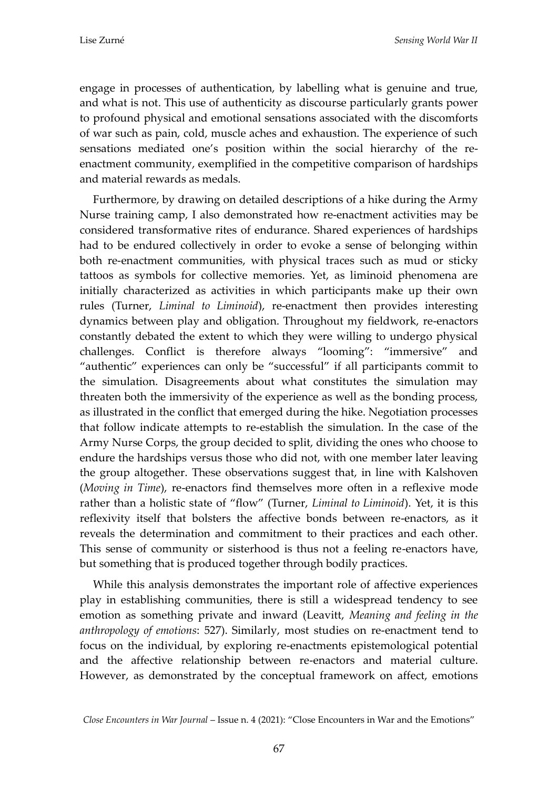engage in processes of authentication, by labelling what is genuine and true, and what is not. This use of authenticity as discourse particularly grants power to profound physical and emotional sensations associated with the discomforts of war such as pain, cold, muscle aches and exhaustion. The experience of such sensations mediated one's position within the social hierarchy of the reenactment community, exemplified in the competitive comparison of hardships and material rewards as medals.

Furthermore, by drawing on detailed descriptions of a hike during the Army Nurse training camp, I also demonstrated how re-enactment activities may be considered transformative rites of endurance. Shared experiences of hardships had to be endured collectively in order to evoke a sense of belonging within both re-enactment communities, with physical traces such as mud or sticky tattoos as symbols for collective memories. Yet, as liminoid phenomena are initially characterized as activities in which participants make up their own rules (Turner, *Liminal to Liminoid*), re-enactment then provides interesting dynamics between play and obligation. Throughout my fieldwork, re-enactors constantly debated the extent to which they were willing to undergo physical challenges. Conflict is therefore always "looming": "immersive" and "authentic" experiences can only be "successful" if all participants commit to the simulation. Disagreements about what constitutes the simulation may threaten both the immersivity of the experience as well as the bonding process, as illustrated in the conflict that emerged during the hike. Negotiation processes that follow indicate attempts to re-establish the simulation. In the case of the Army Nurse Corps, the group decided to split, dividing the ones who choose to endure the hardships versus those who did not, with one member later leaving the group altogether. These observations suggest that, in line with Kalshoven (*Moving in Time*), re-enactors find themselves more often in a reflexive mode rather than a holistic state of "flow" (Turner, *Liminal to Liminoid*). Yet, it is this reflexivity itself that bolsters the affective bonds between re-enactors, as it reveals the determination and commitment to their practices and each other. This sense of community or sisterhood is thus not a feeling re-enactors have, but something that is produced together through bodily practices.

While this analysis demonstrates the important role of affective experiences play in establishing communities, there is still a widespread tendency to see emotion as something private and inward (Leavitt, *Meaning and feeling in the anthropology of emotions*: 527). Similarly, most studies on re-enactment tend to focus on the individual, by exploring re-enactments epistemological potential and the affective relationship between re-enactors and material culture. However, as demonstrated by the conceptual framework on affect, emotions

*Close Encounters in War Journal* – Issue n. 4 (2021): "Close Encounters in War and the Emotions"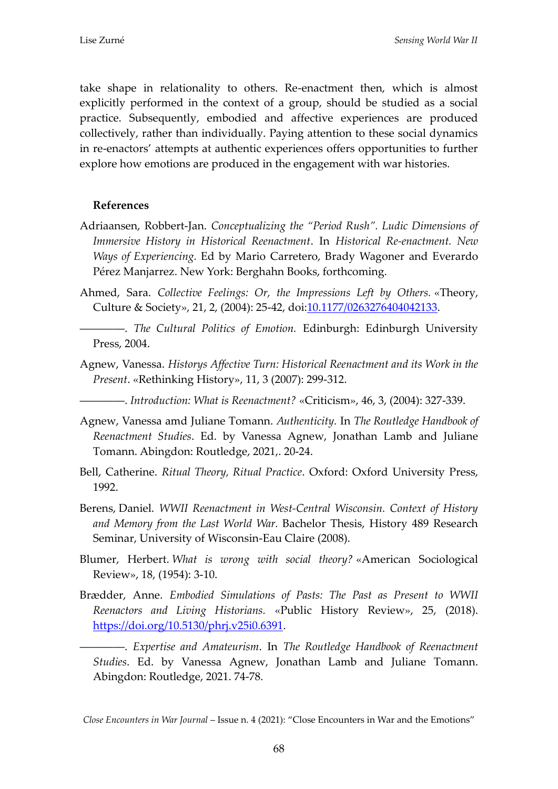take shape in relationality to others. Re-enactment then, which is almost explicitly performed in the context of a group, should be studied as a social practice. Subsequently, embodied and affective experiences are produced collectively, rather than individually. Paying attention to these social dynamics in re-enactors' attempts at authentic experiences offers opportunities to further explore how emotions are produced in the engagement with war histories.

### **References**

- Adriaansen, Robbert-Jan. *Conceptualizing the "Period Rush". Ludic Dimensions of Immersive History in Historical Reenactment*. In *Historical Re-enactment. New Ways of Experiencing.* Ed by Mario Carretero, Brady Wagoner and Everardo Pérez Manjarrez. New York: Berghahn Books, forthcoming.
- Ahmed, Sara. *Collective Feelings: Or, the Impressions Left by Others.* «Theory, Culture & Society», 21, 2, (2004): 25-42, doi[:10.1177/0263276404042133.](https://doi-org.eur.idm.oclc.org/10.1177/0263276404042133)
- ――――. *The Cultural Politics of Emotion.* Edinburgh: Edinburgh University Press, 2004.
- Agnew, Vanessa. *Historys Affective Turn: Historical Reenactment and its Work in the Present*. «Rethinking History», 11, 3 (2007): 299-312.
- ――――. *Introduction: What is Reenactment?* «Criticism», 46, 3, (2004): 327-339.
- Agnew, Vanessa amd Juliane Tomann. *Authenticity.* In *The Routledge Handbook of Reenactment Studies*. Ed. by Vanessa Agnew, Jonathan Lamb and Juliane Tomann. Abingdon: Routledge, 2021,. 20-24.
- Bell, Catherine. *Ritual Theory, Ritual Practice*. Oxford: Oxford University Press, 1992.
- Berens, Daniel. *WWII Reenactment in West-Central Wisconsin. Context of History and Memory from the Last World War.* Bachelor Thesis, History 489 Research Seminar, University of Wisconsin-Eau Claire (2008).
- Blumer, Herbert. *What is wrong with social theory?* «American Sociological Review», 18, (1954): 3-10.
- Brædder, Anne. *Embodied Simulations of Pasts: The Past as Present to WWII Reenactors and Living Historians.* «Public History Review», 25, (2018). [https://doi.org/10.5130/phrj.v25i0.6391.](https://doi.org/10.5130/phrj.v25i0.6391)

――――. *Expertise and Amateurism*. In *The Routledge Handbook of Reenactment Studies*. Ed. by Vanessa Agnew, Jonathan Lamb and Juliane Tomann. Abingdon: Routledge, 2021. 74-78.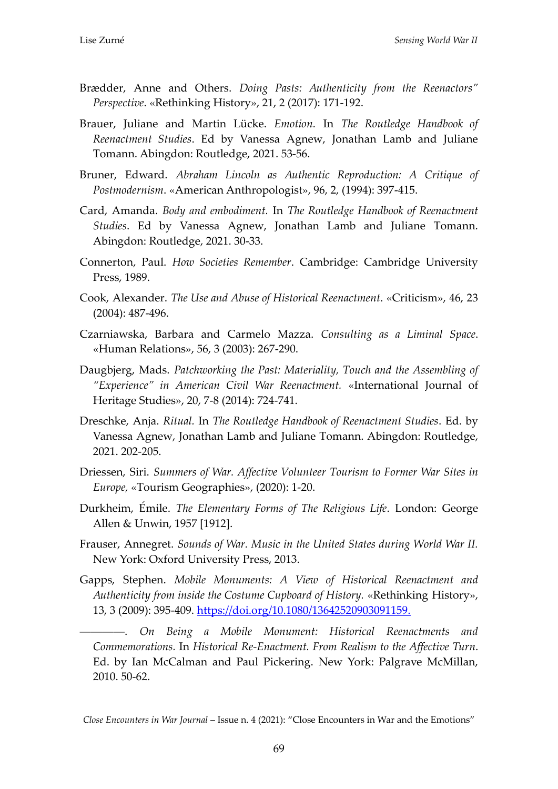- Brædder, Anne and Others. *Doing Pasts: Authenticity from the Reenactors" Perspective*. «Rethinking History», 21, 2 (2017): 171-192.
- Brauer, Juliane and Martin Lücke. *Emotion.* In *The Routledge Handbook of Reenactment Studies*. Ed by Vanessa Agnew, Jonathan Lamb and Juliane Tomann. Abingdon: Routledge, 2021. 53-56.
- Bruner, Edward. *Abraham Lincoln as Authentic Reproduction: A Critique of Postmodernism*. «American Anthropologist», 96, 2, (1994): 397-415.
- Card, Amanda. *Body and embodiment.* In *The Routledge Handbook of Reenactment Studies*. Ed by Vanessa Agnew, Jonathan Lamb and Juliane Tomann. Abingdon: Routledge, 2021. 30-33.
- Connerton, Paul. *How Societies Remember*. Cambridge: Cambridge University Press, 1989.
- Cook, Alexander. *The Use and Abuse of Historical Reenactment*. «Criticism», 46, 23 (2004): 487-496.
- Czarniawska, Barbara and Carmelo Mazza. *Consulting as a Liminal Space*. «Human Relations», 56, 3 (2003): 267-290.
- Daugbjerg, Mads. *Patchworking the Past: Materiality, Touch and the Assembling of "Experience" in American Civil War Reenactment.* «International Journal of Heritage Studies», 20, 7-8 (2014): 724-741.
- Dreschke, Anja. *Ritual.* In *The Routledge Handbook of Reenactment Studies*. Ed. by Vanessa Agnew, Jonathan Lamb and Juliane Tomann. Abingdon: Routledge, 2021. 202-205.
- Driessen, Siri. *Summers of War. Affective Volunteer Tourism to Former War Sites in Europe,* «Tourism Geographies», (2020): 1-20.
- Durkheim, Émile. *The Elementary Forms of The Religious Life*. London: George Allen & Unwin, 1957 [1912].
- Frauser, Annegret. *Sounds of War. Music in the United States during World War II.* New York: Oxford University Press, 2013.
- Gapps, Stephen. *Mobile Monuments: A View of Historical Reenactment and Authenticity from inside the Costume Cupboard of History.* «Rethinking History», 13, 3 (2009): 395-409. [https://doi.org/10.1080/13642520903091159.](https://doi.org/10.1080/13642520903091159)

――――. *On Being a Mobile Monument: Historical Reenactments and Commemorations.* In *Historical Re-Enactment. From Realism to the Affective Turn*. Ed. by Ian McCalman and Paul Pickering. New York: Palgrave McMillan, 2010. 50-62.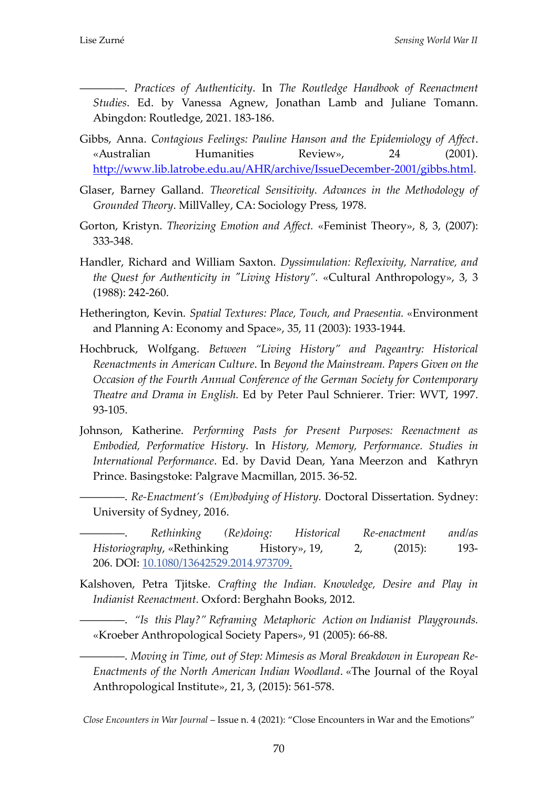――――. *Practices of Authenticity*. In *The Routledge Handbook of Reenactment Studies*. Ed. by Vanessa Agnew, Jonathan Lamb and Juliane Tomann. Abingdon: Routledge, 2021. 183-186.

- Gibbs, Anna. *Contagious Feelings: Pauline Hanson and the Epidemiology of Affect*. «Australian Humanities Review», 24 (2001). [http://www.lib.latrobe.edu.au/AHR/archive/IssueDecember](http://www.lib.latrobe.edu.au/AHR/archive/IssueDecember-2001/gibbs.html)-2001/gibbs.html.
- Glaser, Barney Galland. *Theoretical Sensitivity. Advances in the Methodology of Grounded Theory*. MillValley, CA: Sociology Press, 1978.
- Gorton, Kristyn. *Theorizing Emotion and Affect.* «Feminist Theory», 8, 3, (2007): 333-348.
- Handler, Richard and William Saxton. *Dyssimulation: Reflexivity, Narrative, and the Quest for Authenticity in "Living History".* «Cultural Anthropology», 3, 3 (1988): 242-260.
- Hetherington, Kevin. *Spatial Textures: Place, Touch, and Praesentia.* «Environment and Planning A: Economy and Space», 35, 11 (2003): 1933-1944.
- Hochbruck, Wolfgang. *Between "Living History" and Pageantry: Historical Reenactments in American Culture*. In *Beyond the Mainstream. Papers Given on the Occasion of the Fourth Annual Conference of the German Society for Contemporary Theatre and Drama in English.* Ed by Peter Paul Schnierer. Trier: WVT, 1997. 93-105.
- Johnson, Katherine. *Performing Pasts for Present Purposes: Reenactment as Embodied, Performative History*. In *History, Memory, Performance. Studies in International Performance*. Ed. by David Dean, Yana Meerzon and Kathryn Prince. Basingstoke: Palgrave Macmillan, 2015. 36-52.
	- ――――. *Re-Enactment's (Em)bodying of History.* Doctoral Dissertation. Sydney: University of Sydney, 2016.
- ――――. *Rethinking (Re)doing: Historical Re-enactment and/as Historiography*, «Rethinking History», 19, 2, (2015): 193- 206. DOI: [10.1080/13642529.2014.973709.](https://doi-org.eur.idm.oclc.org/10.1080/13642529.2014.973709)
- Kalshoven, Petra Tjitske. *Crafting the Indian. Knowledge, Desire and Play in Indianist Reenactment.* Oxford: Berghahn Books, 2012.

――――. *"Is this Play?" Reframing Metaphoric Action on Indianist Playgrounds.*  «Kroeber Anthropological Society Papers», 91 (2005): 66-88.

――――. *Moving in Time, out of Step: Mimesis as Moral Breakdown in European Re-Enactments of the North American Indian Woodland*. «The Journal of the Royal Anthropological Institute», 21, 3, (2015): 561-578.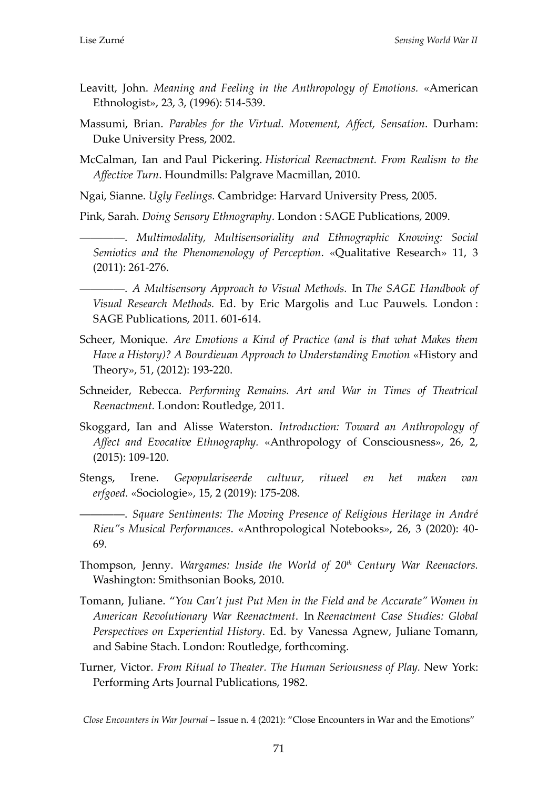- Leavitt, John. *Meaning and Feeling in the Anthropology of Emotions.* «American Ethnologist», 23, 3, (1996): 514-539.
- Massumi, Brian. *Parables for the Virtual. Movement, Affect, Sensation*. Durham: Duke University Press, 2002.
- McCalman, Ian and Paul Pickering. *Historical Reenactment. From Realism to the Affective Turn*. Houndmills: Palgrave Macmillan, 2010.

Ngai, Sianne. *Ugly Feelings.* Cambridge: Harvard University Press, 2005.

Pink, Sarah. *Doing Sensory Ethnography*. London : SAGE Publications, 2009.

――――. *Multimodality, Multisensoriality and Ethnographic Knowing: Social Semiotics and the Phenomenology of Perception*. «Qualitative Research» 11, 3 (2011): 261-276.

――――. *A Multisensory Approach to Visual Methods.* In *The SAGE Handbook of Visual Research Methods.* Ed. by Eric Margolis and Luc Pauwels*.* London : SAGE Publications, 2011. 601-614.

- Scheer, Monique. *Are Emotions a Kind of Practice (and is that what Makes them Have a History)? A Bourdieuan Approach to Understanding Emotion* «History and Theory», 51, (2012): 193-220.
- Schneider, Rebecca. *Performing Remains. Art and War in Times of Theatrical Reenactment.* London: Routledge, 2011.
- Skoggard, Ian and Alisse Waterston. *Introduction: Toward an Anthropology of Affect and Evocative Ethnography.* «Anthropology of Consciousness», 26, 2, (2015): 109-120.
- Stengs, Irene. *Gepopulariseerde cultuur, ritueel en het maken van erfgoed.* «Sociologie», 15, 2 (2019): 175-208.
- ――――. *Square Sentiments: The Moving Presence of Religious Heritage in André Rieu"s Musical Performances*. «Anthropological Notebooks», 26, 3 (2020): 40- 69.
- Thompson, Jenny. *Wargames: Inside the World of 20th Century War Reenactors.* Washington: Smithsonian Books, 2010.
- Tomann, Juliane. "*You Can't just Put Men in the Field and be Accurate" Women in American Revolutionary War Reenactment*. In *Reenactment Case Studies: Global Perspectives on Experiential History*. Ed. by Vanessa Agnew, Juliane Tomann, and Sabine Stach. London: Routledge, forthcoming.
- Turner, Victor. *From Ritual to Theater. The Human Seriousness of Play.* New York: Performing Arts Journal Publications, 1982.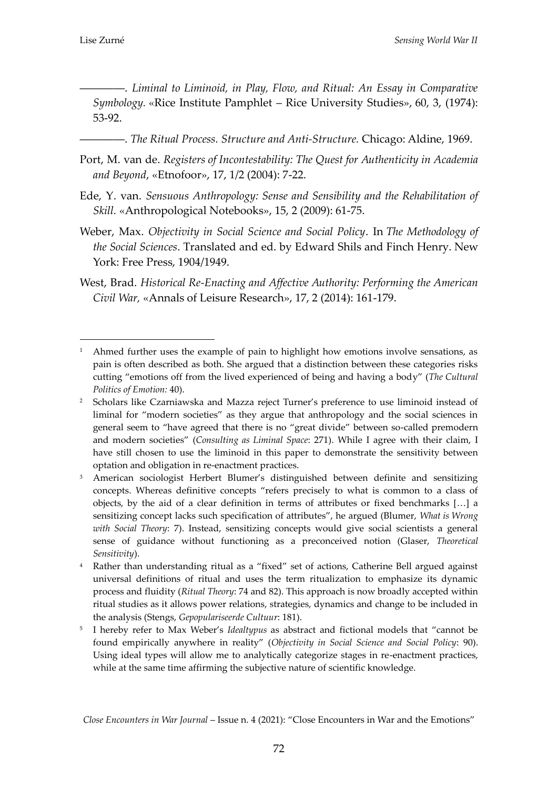<u>.</u>

――――. *Liminal to Liminoid, in Play, Flow, and Ritual: An Essay in Comparative Symbology.* «Rice Institute Pamphlet – Rice University Studies», 60, 3, (1974): 53-92.

- ――――. *The Ritual Process. Structure and Anti-Structure.* Chicago: Aldine, 1969.
- Port, M. van de. *Registers of Incontestability: The Quest for Authenticity in Academia and Beyond*, «Etnofoor», 17, 1/2 (2004): 7-22.
- Ede, Y. van. *Sensuous Anthropology: Sense and Sensibility and the Rehabilitation of Skill.* «Anthropological Notebooks», 15, 2 (2009): 61-75.
- Weber, Max. *Objectivity in Social Science and Social Policy*. In *The Methodology of the Social Sciences*. Translated and ed. by Edward Shils and Finch Henry. New York: Free Press, 1904/1949.
- West, Brad. *Historical Re-Enacting and Affective Authority: Performing the American Civil War,* «Annals of Leisure Research», 17, 2 (2014): 161-179.

<sup>&</sup>lt;sup>1</sup> Ahmed further uses the example of pain to highlight how emotions involve sensations, as pain is often described as both. She argued that a distinction between these categories risks cutting "emotions off from the lived experienced of being and having a body" (*The Cultural Politics of Emotion:* 40).

<sup>2</sup> Scholars like Czarniawska and Mazza reject Turner's preference to use liminoid instead of liminal for "modern societies" as they argue that anthropology and the social sciences in general seem to "have agreed that there is no "great divide" between so-called premodern and modern societies" (*Consulting as Liminal Space*: 271). While I agree with their claim, I have still chosen to use the liminoid in this paper to demonstrate the sensitivity between optation and obligation in re-enactment practices.

<sup>3</sup> American sociologist Herbert Blumer's distinguished between definite and sensitizing concepts. Whereas definitive concepts "refers precisely to what is common to a class of objects, by the aid of a clear definition in terms of attributes or fixed benchmarks  $[...]$  a sensitizing concept lacks such specification of attributes", he argued (Blumer, *What is Wrong with Social Theory*: 7). Instead, sensitizing concepts would give social scientists a general sense of guidance without functioning as a preconceived notion (Glaser, *Theoretical Sensitivity*).

<sup>4</sup> Rather than understanding ritual as a "fixed" set of actions, Catherine Bell argued against universal definitions of ritual and uses the term ritualization to emphasize its dynamic process and fluidity (*Ritual Theory*: 74 and 82). This approach is now broadly accepted within ritual studies as it allows power relations, strategies, dynamics and change to be included in the analysis (Stengs, *Gepopulariseerde Cultuur*: 181).

<sup>5</sup> I hereby refer to Max Weber's *Idealtypus* as abstract and fictional models that "cannot be found empirically anywhere in reality" (*Objectivity in Social Science and Social Policy*: 90). Using ideal types will allow me to analytically categorize stages in re-enactment practices, while at the same time affirming the subjective nature of scientific knowledge.

*Close Encounters in War Journal* – Issue n. 4 (2021): "Close Encounters in War and the Emotions"